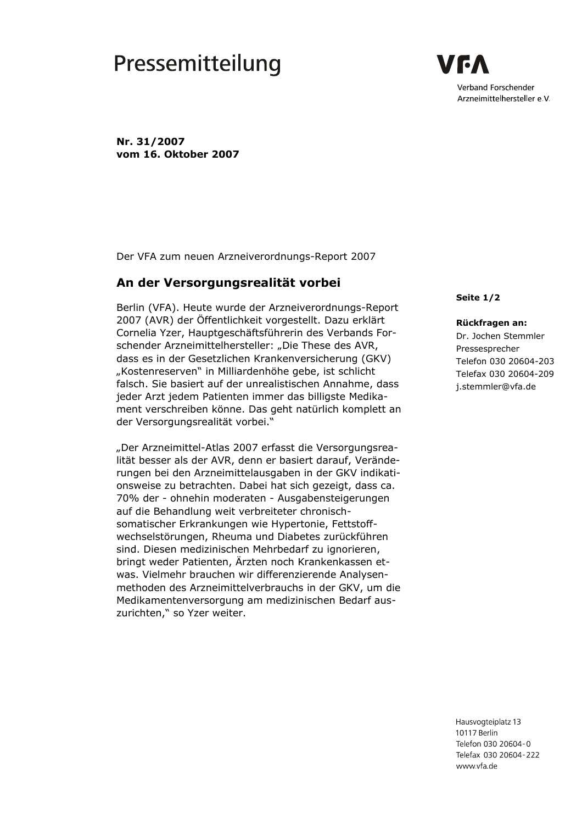## Pressemitteilung

/ 6 A Verband Forschender Arzneimittelhersteller e.V.

Nr. 31/2007 vom 16. Oktober 2007

Der VFA zum neuen Arzneiverordnungs-Report 2007

## An der Versorgungsrealität vorbei

Berlin (VFA). Heute wurde der Arzneiverordnungs-Report 2007 (AVR) der Öffentlichkeit vorgestellt. Dazu erklärt Cornelia Yzer, Hauptgeschäftsführerin des Verbands Forschender Arzneimittelhersteller: "Die These des AVR, dass es in der Gesetzlichen Krankenversicherung (GKV) "Kostenreserven" in Milliardenhöhe gebe, ist schlicht falsch. Sie basiert auf der unrealistischen Annahme, dass jeder Arzt jedem Patienten immer das billigste Medikament verschreiben könne. Das geht natürlich komplett an der Versorgungsrealität vorbei."

"Der Arzneimittel-Atlas 2007 erfasst die Versorgungsrealität besser als der AVR, denn er basiert darauf, Veränderungen bei den Arzneimittelausgaben in der GKV indikationsweise zu betrachten. Dabei hat sich gezeigt, dass ca. 70% der - ohnehin moderaten - Ausgabensteigerungen auf die Behandlung weit verbreiteter chronischsomatischer Erkrankungen wie Hypertonie, Fettstoffwechselstörungen, Rheuma und Diabetes zurückführen sind. Diesen medizinischen Mehrbedarf zu ignorieren, bringt weder Patienten, Ärzten noch Krankenkassen etwas. Vielmehr brauchen wir differenzierende Analysenmethoden des Arzneimittelverbrauchs in der GKV, um die Medikamentenversorgung am medizinischen Bedarf auszurichten," so Yzer weiter.

Seite 1/2

## Rückfragen an:

Dr. Jochen Stemmler Pressesprecher Telefon 030 20604-203 Telefax 030 20604-209 j.stemmler@vfa.de

Hausvogteiplatz 13 10117 Berlin Telefon 030 20604-0 Telefax 030 20604-222 www vfa de